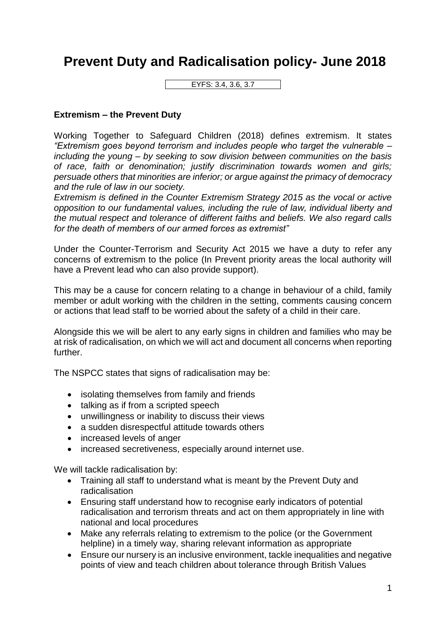## **Prevent Duty and Radicalisation policy- June 2018**

EYFS: 3.4, 3.6, 3.7

## **Extremism – the Prevent Duty**

Working Together to Safeguard Children (2018) defines extremism. It states *"Extremism goes beyond terrorism and includes people who target the vulnerable – including the young – by seeking to sow division between communities on the basis of race, faith or denomination; justify discrimination towards women and girls; persuade others that minorities are inferior; or argue against the primacy of democracy and the rule of law in our society.*

*Extremism is defined in the Counter Extremism Strategy 2015 as the vocal or active opposition to our fundamental values, including the rule of law, individual liberty and the mutual respect and tolerance of different faiths and beliefs. We also regard calls for the death of members of our armed forces as extremist"*

Under the Counter-Terrorism and Security Act 2015 we have a duty to refer any concerns of extremism to the police (In Prevent priority areas the local authority will have a Prevent lead who can also provide support).

This may be a cause for concern relating to a change in behaviour of a child, family member or adult working with the children in the setting, comments causing concern or actions that lead staff to be worried about the safety of a child in their care.

Alongside this we will be alert to any early signs in children and families who may be at risk of radicalisation, on which we will act and document all concerns when reporting further.

The NSPCC states that signs of radicalisation may be:

- isolating themselves from family and friends
- talking as if from a scripted speech
- unwillingness or inability to discuss their views
- a sudden disrespectful attitude towards others
- increased levels of anger
- increased secretiveness, especially around internet use.

We will tackle radicalisation by:

- Training all staff to understand what is meant by the Prevent Duty and radicalisation
- Ensuring staff understand how to recognise early indicators of potential radicalisation and terrorism threats and act on them appropriately in line with national and local procedures
- Make any referrals relating to extremism to the police (or the Government helpline) in a timely way, sharing relevant information as appropriate
- Ensure our nursery is an inclusive environment, tackle inequalities and negative points of view and teach children about tolerance through British Values